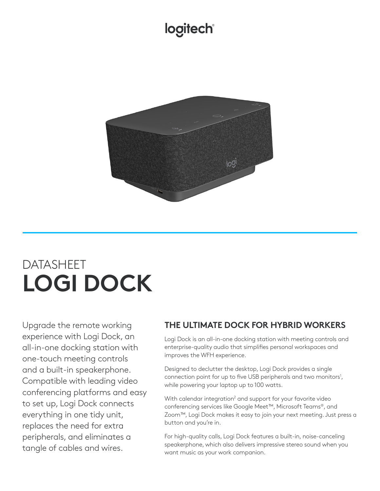## logitech®



# DATASHEET **LOGI DOCK**

Upgrade the remote working experience with Logi Dock, an all-in-one docking station with one-touch meeting controls and a built-in speakerphone. Compatible with leading video conferencing platforms and easy to set up, Logi Dock connects everything in one tidy unit, replaces the need for extra peripherals, and eliminates a tangle of cables and wires.

### **THE ULTIMATE DOCK FOR HYBRID WORKERS**

Logi Dock is an all-in-one docking station with meeting controls and enterprise-quality audio that simplifies personal workspaces and improves the WFH experience.

Designed to declutter the desktop, Logi Dock provides a single connection point for up to five USB peripherals and two monitors<sup>1</sup>, while powering your laptop up to 100 watts.

With calendar integration<sup>2</sup> and support for your favorite video conferencing services like Google Meet™, Microsoft Teams®, and Zoom™, Logi Dock makes it easy to join your next meeting. Just press a button and you're in.

For high-quality calls, Logi Dock features a built-in, noise-canceling speakerphone, which also delivers impressive stereo sound when you want music as your work companion.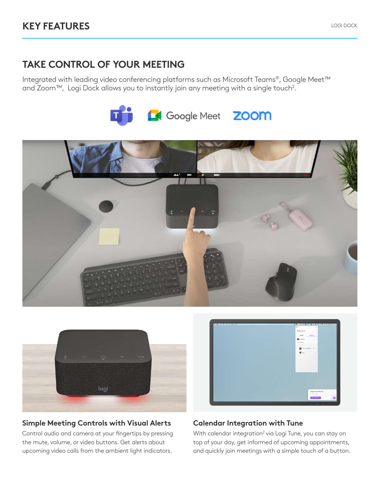### **TAKE CONTROL OF YOUR MEETING**

Integrated with leading video conferencing platforms such as Microsoft Teams®, Google Meet™ and Zoom™, Logi Dock allows you to instantly join any meeting with a single touch<sup>2</sup>.







#### **Simple Meeting Controls with Visual Alerts**

Control audio and camera at your fingertips by pressing the mute, volume, or video buttons. Get alerts about upcoming video calls from the ambient light indicators.



#### **Calendar Integration with Tune**

With calendar integration<sup>2</sup> via Logi Tune, you can stay on top of your day, get informed of upcoming appointments, and quickly join meetings with a simple touch of a button.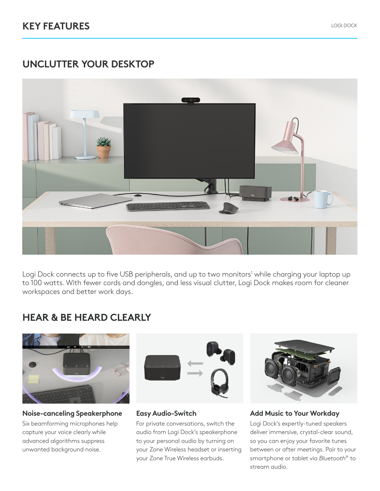### **UNCLUTTER YOUR DESKTOP**



Logi Dock connects up to five USB peripherals, and up to two monitors<sup>1</sup> while charging your laptop up to 100 watts. With fewer cords and dongles, and less visual clutter, Logi Dock makes room for cleaner workspaces and better work days.

### **HEAR & BE HEARD CLEARLY**



#### **Noise-canceling Speakerphone**

Six beamforming microphones help capture your voice clearly while advanced algorithms suppress unwanted background noise.



#### **Easy Audio-Switch**

For private conversations, switch the audio from Logi Dock's speakerphone to your personal audio by turning on your Zone Wireless headset or inserting your Zone True Wireless earbuds.



#### **Add Music to Your Workday**

Logi Dock's expertly-tuned speakers deliver immersive, crystal-clear sound, so you can enjoy your favorite tunes between or after meetings. Pair to your smartphone or tablet via *Bluetooth*® to stream audio.